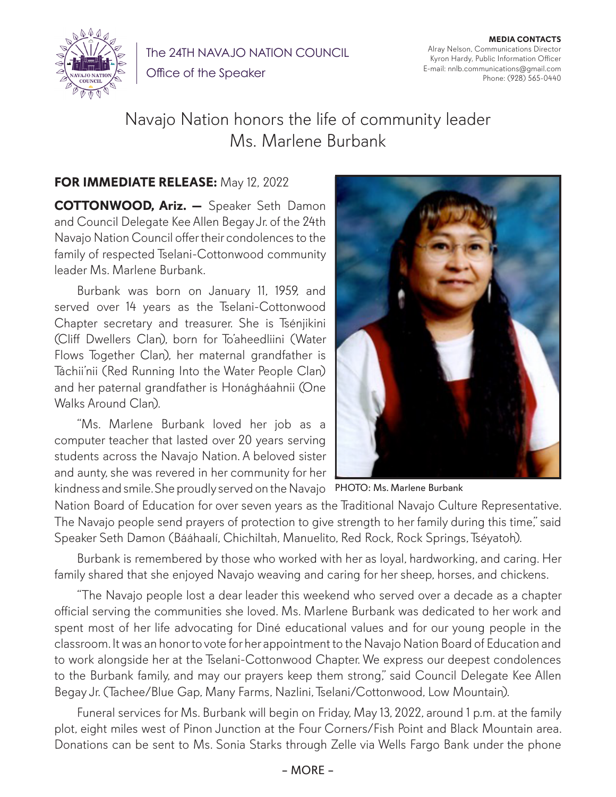

The 24TH NAVAJO NATION COUNCIL

Office of the Speaker

**MEDIA CONTACTS** Alray Nelson, Communications Director Kyron Hardy, Public Information Officer E-mail: nnlb.communications@gmail.com Phone: (928) 565-0440

## Navajo Nation honors the life of community leader Ms. Marlene Burbank

## **FOR IMMEDIATE RELEASE:** May 12, 2022

**COTTONWOOD, Ariz. —** Speaker Seth Damon and Council Delegate Kee Allen Begay Jr. of the 24th Navajo Nation Council offer their condolences to the family of respected Tselani-Cottonwood community leader Ms. Marlene Burbank.

Burbank was born on January 11, 1959, and served over 14 years as the Tselani-Cottonwood Chapter secretary and treasurer. She is Tsénjikini (Cliff Dwellers Clan), born for To'aheedliini (Water Flows Together Clan), her maternal grandfather is Táchii'nii (Red Running Into the Water People Clan) and her paternal grandfather is Honágháahnii (One Walks Around Clan).

kindness and smile. She proudly served on the Navajo PHOTO: Ms. Marlene Burbank "Ms. Marlene Burbank loved her job as a computer teacher that lasted over 20 years serving students across the Navajo Nation. A beloved sister and aunty, she was revered in her community for her



Nation Board of Education for over seven years as the Traditional Navajo Culture Representative. The Navajo people send prayers of protection to give strength to her family during this time," said Speaker Seth Damon (Bááhaalí, Chichiltah, Manuelito, Red Rock, Rock Springs, Tséyatoh).

Burbank is remembered by those who worked with her as loyal, hardworking, and caring. Her family shared that she enjoyed Navajo weaving and caring for her sheep, horses, and chickens.

"The Navajo people lost a dear leader this weekend who served over a decade as a chapter official serving the communities she loved. Ms. Marlene Burbank was dedicated to her work and spent most of her life advocating for Diné educational values and for our young people in the classroom. It was an honor to vote for her appointment to the Navajo Nation Board of Education and to work alongside her at the Tselani-Cottonwood Chapter. We express our deepest condolences to the Burbank family, and may our prayers keep them strong," said Council Delegate Kee Allen Begay Jr. (Tachee/Blue Gap, Many Farms, Nazlini, Tselani/Cottonwood, Low Mountain).

Funeral services for Ms. Burbank will begin on Friday, May 13, 2022, around 1 p.m. at the family plot, eight miles west of Pinon Junction at the Four Corners/Fish Point and Black Mountain area. Donations can be sent to Ms. Sonia Starks through Zelle via Wells Fargo Bank under the phone